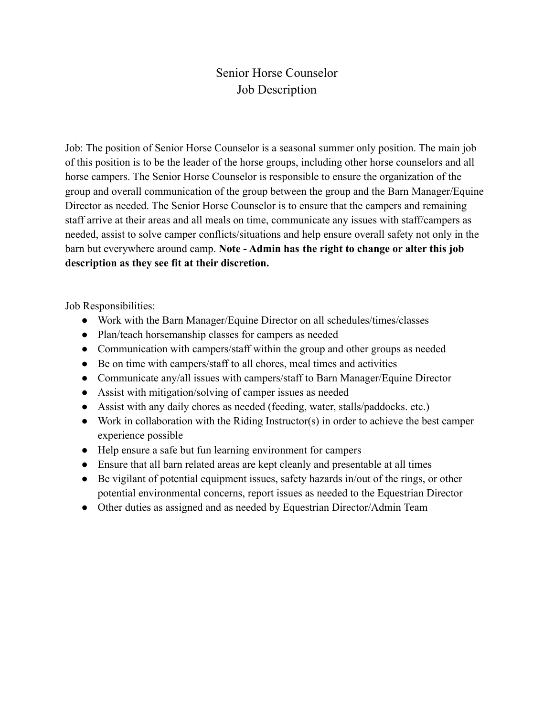## Senior Horse Counselor Job Description

Job: The position of Senior Horse Counselor is a seasonal summer only position. The main job of this position is to be the leader of the horse groups, including other horse counselors and all horse campers. The Senior Horse Counselor is responsible to ensure the organization of the group and overall communication of the group between the group and the Barn Manager/Equine Director as needed. The Senior Horse Counselor is to ensure that the campers and remaining staff arrive at their areas and all meals on time, communicate any issues with staff/campers as needed, assist to solve camper conflicts/situations and help ensure overall safety not only in the barn but everywhere around camp. **Note - Admin has the right to change or alter this job description as they see fit at their discretion.**

Job Responsibilities:

- Work with the Barn Manager/Equine Director on all schedules/times/classes
- Plan/teach horsemanship classes for campers as needed
- Communication with campers/staff within the group and other groups as needed
- Be on time with campers/staff to all chores, meal times and activities
- Communicate any/all issues with campers/staff to Barn Manager/Equine Director
- Assist with mitigation/solving of camper issues as needed
- Assist with any daily chores as needed (feeding, water, stalls/paddocks. etc.)
- Work in collaboration with the Riding Instructor(s) in order to achieve the best camper experience possible
- Help ensure a safe but fun learning environment for campers
- Ensure that all barn related areas are kept cleanly and presentable at all times
- Be vigilant of potential equipment issues, safety hazards in/out of the rings, or other potential environmental concerns, report issues as needed to the Equestrian Director
- Other duties as assigned and as needed by Equestrian Director/Admin Team